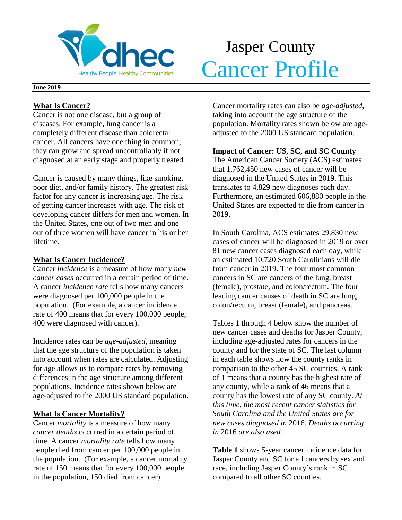

# Jasper County Healthy People. Healthy Communities. Cancer Profile

#### **June 2019**

## **What Is Cancer?**

Cancer is not one disease, but a group of diseases. For example, lung cancer is a completely different disease than colorectal cancer. All cancers have one thing in common, they can grow and spread uncontrollably if not diagnosed at an early stage and properly treated.

Cancer is caused by many things, like smoking, poor diet, and/or family history. The greatest risk factor for any cancer is increasing age. The risk of getting cancer increases with age. The risk of developing cancer differs for men and women. In the United States, one out of two men and one out of three women will have cancer in his or her lifetime.

## **What Is Cancer Incidence?**

Cancer *incidence* is a measure of how many *new cancer cases* occurred in a certain period of time. A cancer *incidence rate* tells how many cancers were diagnosed per 100,000 people in the population. (For example, a cancer incidence rate of 400 means that for every 100,000 people, 400 were diagnosed with cancer).

Incidence rates can be *age-adjusted*, meaning that the age structure of the population is taken into account when rates are calculated. Adjusting for age allows us to compare rates by removing differences in the age structure among different populations. Incidence rates shown below are age-adjusted to the 2000 US standard population.

## **What Is Cancer Mortality?**

Cancer *mortality* is a measure of how many *cancer deaths* occurred in a certain period of time. A cancer *mortality rate* tells how many people died from cancer per 100,000 people in the population. (For example, a cancer mortality rate of 150 means that for every 100,000 people in the population, 150 died from cancer).

Cancer mortality rates can also be *age-adjusted*, taking into account the age structure of the population. Mortality rates shown below are ageadjusted to the 2000 US standard population.

## **Impact of Cancer: US, SC, and SC County**

The American Cancer Society (ACS) estimates that 1,762,450 new cases of cancer will be diagnosed in the United States in 2019. This translates to 4,829 new diagnoses each day. Furthermore, an estimated 606,880 people in the United States are expected to die from cancer in 2019.

In South Carolina, ACS estimates 29,830 new cases of cancer will be diagnosed in 2019 or over 81 new cancer cases diagnosed each day, while an estimated 10,720 South Carolinians will die from cancer in 2019. The four most common cancers in SC are cancers of the lung, breast (female), prostate, and colon/rectum. The four leading cancer causes of death in SC are lung, colon/rectum, breast (female), and pancreas.

Tables 1 through 4 below show the number of new cancer cases and deaths for Jasper County, including age-adjusted rates for cancers in the county and for the state of SC. The last column in each table shows how the county ranks in comparison to the other 45 SC counties. A rank of 1 means that a county has the highest rate of any county, while a rank of 46 means that a county has the lowest rate of any SC county. *At this time, the most recent cancer statistics for South Carolina and the United States are for new cases diagnosed in* 2016*. Deaths occurring in* 2016 *are also used.*

**Table 1** shows 5-year cancer incidence data for Jasper County and SC for all cancers by sex and race, including Jasper County's rank in SC compared to all other SC counties.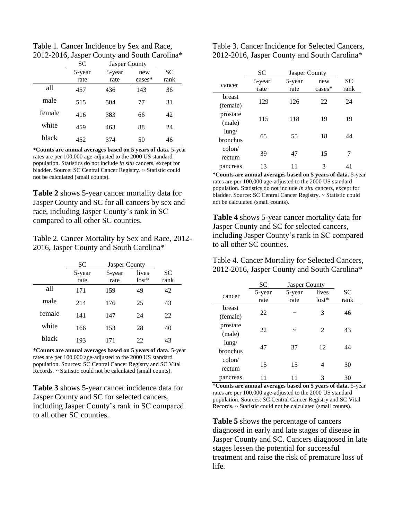Table 1. Cancer Incidence by Sex and Race, 2012-2016, Jasper County and South Carolina\*

|        | <b>SC</b> | Jasper County |           |           |
|--------|-----------|---------------|-----------|-----------|
|        | 5-year    | 5-year        | new       | <b>SC</b> |
|        | rate      | rate          | $cases^*$ | rank      |
| all    | 457       | 436           | 143       | 36        |
| male   | 515       | 504           | 77        | 31        |
| female | 416       | 383           | 66        | 42        |
| white  | 459       | 463           | 88        | 24        |
| black  | 452       | 374           | 50        | 46        |

\***Counts are annual averages based on 5 years of data.** 5-year rates are per 100,000 age-adjusted to the 2000 US standard population. Statistics do not include *in situ* cancers, except for bladder. Source: SC Central Cancer Registry. ~ Statistic could not be calculated (small counts).

**Table 2** shows 5-year cancer mortality data for Jasper County and SC for all cancers by sex and race, including Jasper County's rank in SC compared to all other SC counties.

Table 2. Cancer Mortality by Sex and Race, 2012- 2016, Jasper County and South Carolina\*

|        | <b>SC</b>      | <b>Jasper County</b> |                  |                   |
|--------|----------------|----------------------|------------------|-------------------|
|        | 5-year<br>rate | 5-year<br>rate       | lives<br>$lost*$ | <b>SC</b><br>rank |
| all    | 171            | 159                  | 49               | 42                |
| male   | 214            | 176                  | 25               | 43                |
| female | 141            | 147                  | 24               | 22                |
| white  | 166            | 153                  | 28               | 40                |
| black  | 193            | 171                  | 22               | 43                |

\***Counts are annual averages based on 5 years of data.** 5-year rates are per 100,000 age-adjusted to the 2000 US standard population. Sources: SC Central Cancer Registry and SC Vital Records. ~ Statistic could not be calculated (small counts).

**Table 3** shows 5-year cancer incidence data for Jasper County and SC for selected cancers, including Jasper County's rank in SC compared to all other SC counties.

Table 3. Cancer Incidence for Selected Cancers, 2012-2016, Jasper County and South Carolina\*

|                 | <b>SC</b> | Jasper County |           |           |
|-----------------|-----------|---------------|-----------|-----------|
| cancer          | 5-year    | 5-year        | new       | <b>SC</b> |
|                 | rate      | rate          | $cases^*$ | rank      |
| breast          |           |               |           |           |
| (female)        | 129       | 126<br>22     | 24        |           |
| prostate        |           |               |           | 19        |
| (male)          | 115       | 118<br>19     |           |           |
| $l$ ung/        |           | 55            |           | 44        |
| bronchus        | 65        |               | 18        |           |
| $\text{colon}/$ |           |               |           |           |
| rectum          | 39        | 47            | 15        | 7         |
| pancreas        | 13        | 11            | 3         | 41        |

\***Counts are annual averages based on 5 years of data.** 5-year rates are per 100,000 age-adjusted to the 2000 US standard population. Statistics do not include *in situ* cancers, except for bladder. Source: SC Central Cancer Registry. ~ Statistic could not be calculated (small counts).

**Table 4** shows 5-year cancer mortality data for Jasper County and SC for selected cancers, including Jasper County's rank in SC compared to all other SC counties.

Table 4. Cancer Mortality for Selected Cancers, 2012-2016, Jasper County and South Carolina\*

|                 | <b>SC</b> | Jasper County |                |           |
|-----------------|-----------|---------------|----------------|-----------|
| cancer          | 5-year    | 5-year        | lives          | <b>SC</b> |
|                 | rate      | rate          | $lost*$        | rank      |
| breast          | 22        |               | 3              | 46        |
| (female)        |           | ~             |                |           |
| prostate        | 22        |               | $\mathfrak{D}$ | 43        |
| (male)          |           |               |                |           |
| $l$ ung/        | 47        | 37            | 12             | 44        |
| bronchus        |           |               |                |           |
| $\text{colon}/$ |           |               |                |           |
| rectum          | 15        | 15            | 4              | 30        |
| pancreas        |           |               | 3              | 30        |

\***Counts are annual averages based on 5 years of data.** 5-year rates are per 100,000 age-adjusted to the 2000 US standard population. Sources: SC Central Cancer Registry and SC Vital Records. ~ Statistic could not be calculated (small counts).

**Table 5** shows the percentage of cancers diagnosed in early and late stages of disease in Jasper County and SC. Cancers diagnosed in late stages lessen the potential for successful treatment and raise the risk of premature loss of life.